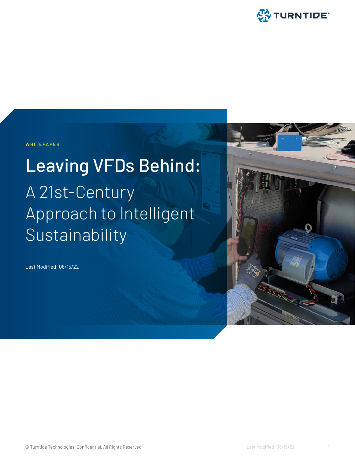

**WHITEPAPER**

# Leaving VFDs Behind: A 21st-Century Approach to Intelligent Sustainability

Last Modified: 06/15/22

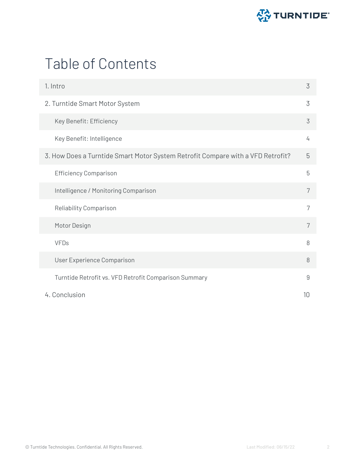

## Table of Contents

| 1. Intro                                                                        | 3 |  |
|---------------------------------------------------------------------------------|---|--|
| 2. Turntide Smart Motor System                                                  |   |  |
| Key Benefit: Efficiency                                                         | 3 |  |
| Key Benefit: Intelligence                                                       | 4 |  |
| 3. How Does a Turntide Smart Motor System Retrofit Compare with a VFD Retrofit? | 5 |  |
| <b>Efficiency Comparison</b>                                                    | 5 |  |
| Intelligence / Monitoring Comparison                                            | 7 |  |
| Reliability Comparison                                                          | 7 |  |
| Motor Design                                                                    | 7 |  |
| <b>VFDs</b>                                                                     | 8 |  |
| User Experience Comparison                                                      | 8 |  |
| Turntide Retrofit vs. VFD Retrofit Comparison Summary                           | 9 |  |
| 4. Conclusion                                                                   |   |  |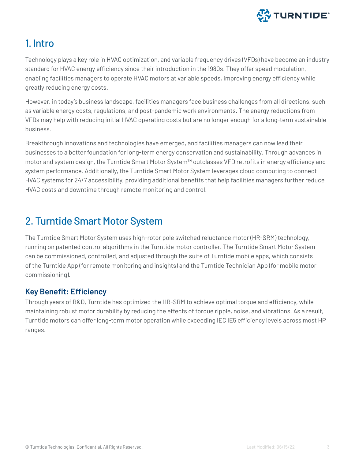

## <span id="page-2-0"></span>1. Intro

Technology plays a key role in HVAC optimization, and variable frequency drives (VFDs) have become an industry standard for HVAC energy efficiency since their introduction in the 1980s. They offer speed modulation, enabling facilities managers to operate HVAC motors at variable speeds, improving energy efficiency while greatly reducing energy costs.

However, in today's business landscape, facilities managers face business challenges from all directions, such as variable energy costs, regulations, and post-pandemic work environments. The energy reductions from VFDs may help with reducing initial HVAC operating costs but are no longer enough for a long-term sustainable business.

Breakthrough innovations and technologies have emerged, and facilities managers can now lead their businesses to a better foundation for long-term energy conservation and sustainability. Through advances in motor and system design, the Turntide Smart Motor System™ outclasses VFD retrofits in energy efficiency and system performance. Additionally, the Turntide Smart Motor System leverages cloud computing to connect HVAC systems for 24/7 accessibility, providing additional benefits that help facilities managers further reduce HVAC costs and downtime through remote monitoring and control.

## 2. Turntide Smart Motor System

The Turntide Smart Motor System uses high-rotor pole switched reluctance motor (HR-SRM) technology, running on patented control algorithms in the Turntide motor controller. The Turntide Smart Motor System can be commissioned, controlled, and adjusted through the suite of Turntide mobile apps, which consists of the Turntide App (for remote monitoring and insights) and the Turntide Technician App (for mobile motor commissioning).

## **Key Benefit: Efficiency**

Through years of R&D, Turntide has optimized the HR-SRM to achieve optimal torque and efficiency, while maintaining robust motor durability by reducing the effects of torque ripple, noise, and vibrations. As a result, Turntide motors can offer long-term motor operation while exceeding IEC IE5 efficiency levels across most HP ranges.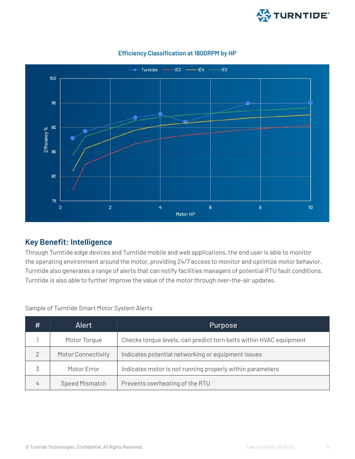

<span id="page-3-0"></span>

#### **Efficiency Classification at 1800RPM by HP**

#### **Key Benefit: Intelligence**

Through Turntide edge devices and Turntide mobile and web applications, the end user is able to monitor the operating environment around the motor, providing 24/7 access to monitor and optimize motor behavior. Turntide also generates a range of alerts that can notify facilities managers of potential RTU fault conditions. Turntide is also able to further improve the value of the motor through over-the-air updates.

Sample of Turntide Smart Motor System Alerts

| #             | <b>Alert</b>              | <b>Purpose</b>                                                     |  |
|---------------|---------------------------|--------------------------------------------------------------------|--|
|               | Motor Torque              | Checks torque levels, can predict torn belts within HVAC equipment |  |
| $\mathcal{P}$ | <b>Motor Connectivity</b> | Indicates potential networking or equipment issues                 |  |
|               | Motor Error               | Indicates motor is not running properly within parameters          |  |
|               | <b>Speed Mismatch</b>     | Prevents overheating of the RTU                                    |  |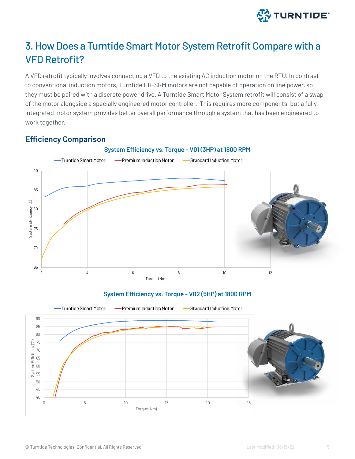

## <span id="page-4-0"></span>3. How Does a Turntide Smart Motor System Retrofit Compare with a VFD Retrofit?

A VFD retrofit typically involves connecting a VFD to the existing AC induction motor on the RTU. In contrast to conventional induction motors, Turntide HR-SRM motors are not capable of operation on line power, so they must be paired with a discrete power drive. A Turntide Smart Motor System retrofit will consist of a swap of the motor alongside a specially engineered motor controller. This requires more components, but a fully integrated motor system provides better overall performance through a system that has been engineered to work together.

### **System Efficiency vs. Torque - V01 (3HP) at 1800 RPM** -Turntide Smart Motor -Premium Induction Motor -Standard Induction Motor 90 85 System EFficiency (%) System EFficiency (%) 80 75 70 65 2 5 8 8 10 12 Torque (Nm)

## **Efficiency Comparison**

#### **System Efficiency vs. Torque - V02 (5HP) at 1800 RPM**

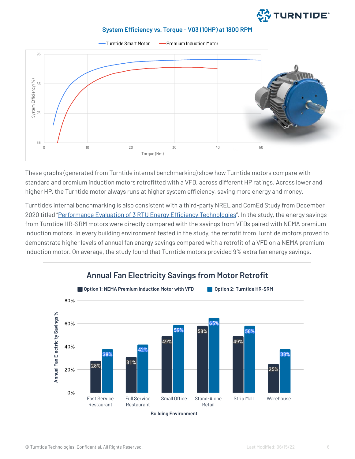

#### **System Efficiency vs. Torque - V03 (10HP) at 1800 RPM**



These graphs (generated from Turntide internal benchmarking) show how Turntide motors compare with standard and premium induction motors retrofitted with a VFD, across different HP ratings. Across lower and higher HP, the Turntide motor always runs at higher system efficiency, saving more energy and money.

Turntide's internal benchmarking is also consistent with a third-party NREL and ComEd Study from December 2020 titled ["Performance Evaluation of 3 RTU Energy Efficiency Technologies"](https://turntide.com/wp-content/uploads/2022/02/NREL-Performance-Evaluation-of-3-RTU-Technologies.pdf). In the study, the energy savings from Turntide HR-SRM motors were directly compared with the savings from VFDs paired with NEMA premium induction motors. In every building environment tested in the study, the retrofit from Turntide motors proved to demonstrate higher levels of annual fan energy savings compared with a retrofit of a VFD on a NEMA premium induction motor. On average, the study found that Turntide motors provided 9% extra fan energy savings.

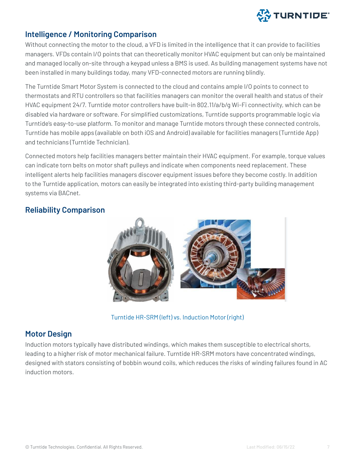

#### <span id="page-6-0"></span>**Intelligence / Monitoring Comparison**

Without connecting the motor to the cloud, a VFD is limited in the intelligence that it can provide to facilities managers. VFDs contain I/O points that can theoretically monitor HVAC equipment but can only be maintained and managed locally on-site through a keypad unless a BMS is used. As building management systems have not been installed in many buildings today, many VFD-connected motors are running blindly.

The Turntide Smart Motor System is connected to the cloud and contains ample I/O points to connect to thermostats and RTU controllers so that facilities managers can monitor the overall health and status of their HVAC equipment 24/7. Turntide motor controllers have built-in 802.11/a/b/g Wi-Fi connectivity, which can be disabled via hardware or software. For simplified customizations, Turntide supports programmable logic via Turntide's easy-to-use platform. To monitor and manage Turntide motors through these connected controls, Turntide has mobile apps (available on both iOS and Android) available for facilities managers (Turntide App) and technicians (Turntide Technician).

Connected motors help facilities managers better maintain their HVAC equipment. For example, torque values can indicate torn belts on motor shaft pulleys and indicate when components need replacement. These intelligent alerts help facilities managers discover equipment issues before they become costly. In addition to the Turntide application, motors can easily be integrated into existing third-party building management systems via BACnet.

### **Reliability Comparison**



Turntide HR-SRM (left) vs. Induction Motor (right)

## **Motor Design**

Induction motors typically have distributed windings, which makes them susceptible to electrical shorts, leading to a higher risk of motor mechanical failure. Turntide HR-SRM motors have concentrated windings, designed with stators consisting of bobbin wound coils, which reduces the risks of winding failures found in AC induction motors.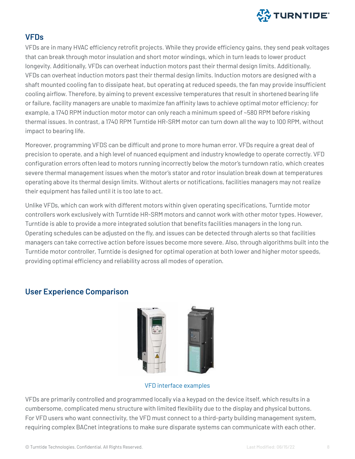

### <span id="page-7-0"></span>**VFDs**

VFDs are in many HVAC efficiency retrofit projects. While they provide efficiency gains, they send peak voltages that can break through motor insulation and short motor windings, which in turn leads to lower product longevity. Additionally, VFDs can overheat induction motors past their thermal design limits. Additionally, VFDs can overheat induction motors past their thermal design limits. Induction motors are designed with a shaft mounted cooling fan to dissipate heat, but operating at reduced speeds, the fan may provide insufficient cooling airflow. Therefore, by aiming to prevent excessive temperatures that result in shortened bearing life or failure, facility managers are unable to maximize fan affinity laws to achieve optimal motor efficiency; for example, a 1740 RPM induction motor motor can only reach a minimum speed of ~580 RPM before risking thermal issues. In contrast, a 1740 RPM Turntide HR-SRM motor can turn down all the way to 100 RPM, without impact to bearing life.

Moreover, programming VFDS can be difficult and prone to more human error. VFDs require a great deal of precision to operate, and a high level of nuanced equipment and industry knowledge to operate correctly. VFD configuration errors often lead to motors running incorrectly below the motor's turndown ratio, which creates severe thermal management issues when the motor's stator and rotor insulation break down at temperatures operating above its thermal design limits. Without alerts or notifications, facilities managers may not realize their equipment has failed until it is too late to act.

Unlike VFDs, which can work with different motors within given operating specifications, Turntide motor controllers work exclusively with Turntide HR-SRM motors and cannot work with other motor types. However, Turntide is able to provide a more integrated solution that benefits facilities managers in the long run. Operating schedules can be adjusted on the fly, and issues can be detected through alerts so that facilities managers can take corrective action before issues become more severe. Also, through algorithms built into the Turntide motor controller, Turntide is designed for optimal operation at both lower and higher motor speeds, providing optimal efficiency and reliability across all modes of operation.

#### **User Experience Comparison**



VFD interface examples

VFDs are primarily controlled and programmed locally via a keypad on the device itself, which results in a cumbersome, complicated menu structure with limited flexibility due to the display and physical buttons. For VFD users who want connectivity, the VFD must connect to a third-party building management system, requiring complex BACnet integrations to make sure disparate systems can communicate with each other.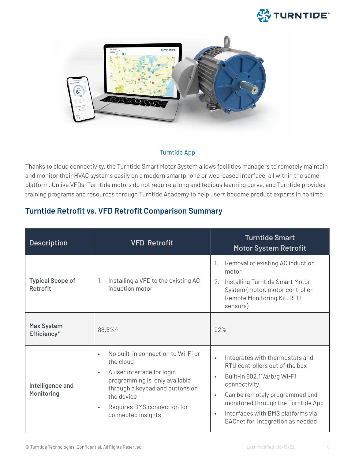## **公 TURNTIDE**

<span id="page-8-0"></span>

#### Turntide App

Thanks to cloud connectivity, the Turntide Smart Motor System allows facilities managers to remotely maintain and monitor their HVAC systems easily on a modern smartphone or web-based interface, all within the same platform. Unlike VFDs, Turntide motors do not require a long and tedious learning curve, and Turntide provides training programs and resources through Turntide Academy to help users become product experts in no time.

## **Turntide Retrofit vs. VFD Retrofit Comparison Summary**

| <b>Description</b>                         | <b>VFD Retrofit</b>                                                                                                                                                                                                                                         | <b>Turntide Smart</b><br><b>Motor System Retrofit</b>                                                                                                                                                                                                                                                                 |
|--------------------------------------------|-------------------------------------------------------------------------------------------------------------------------------------------------------------------------------------------------------------------------------------------------------------|-----------------------------------------------------------------------------------------------------------------------------------------------------------------------------------------------------------------------------------------------------------------------------------------------------------------------|
| <b>Typical Scope of</b><br><b>Retrofit</b> | Installing a VFD to the existing AC<br>1.<br>induction motor                                                                                                                                                                                                | Removal of existing AC induction<br>1.<br>motor<br>Installing Turntide Smart Motor<br>2.<br>System (motor, motor controller,<br>Remote Monitoring Kit, RTU<br>sensors)                                                                                                                                                |
| <b>Max System</b><br>Efficiency*           | 86.5%^                                                                                                                                                                                                                                                      | 92%                                                                                                                                                                                                                                                                                                                   |
| Intelligence and<br><b>Monitoring</b>      | No built-in connection to Wi-Fi or<br>$\bullet$<br>the cloud<br>A user interface for logic<br>$\bullet$<br>programming is only available<br>through a keypad and buttons on<br>the device<br>Requires BMS connection for<br>$\bullet$<br>connected insights | Integrates with thermostats and<br>$\bullet$<br>RTU controllers out of the box<br>Built-in 802.11/a/b/g Wi-Fi<br>$\bullet$<br>connectivity<br>Can be remotely programmed and<br>$\bullet$<br>monitored through the Turntide App<br>Interfaces with BMS platforms via<br>$\bullet$<br>BACnet for integration as needed |